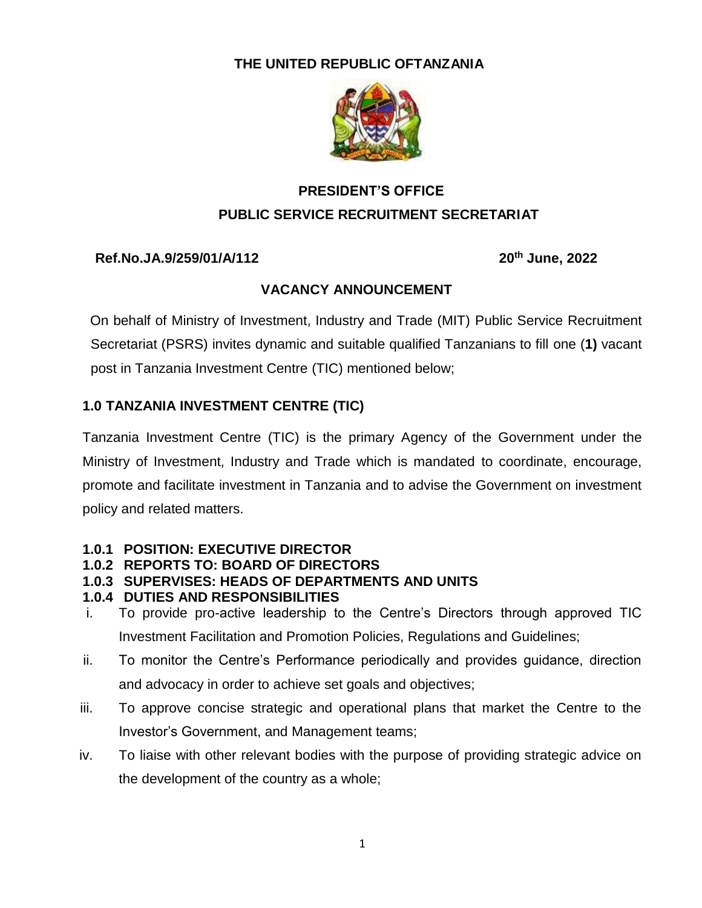### **THE UNITED REPUBLIC OFTANZANIA**



# **PRESIDENT'S OFFICE PUBLIC SERVICE RECRUITMENT SECRETARIAT**

### **Ref.No.JA.9/259/01/A/112 20th June, 2022**

## **VACANCY ANNOUNCEMENT**

 On behalf of Ministry of Investment, Industry and Trade (MIT) Public Service Recruitment Secretariat (PSRS) invites dynamic and suitable qualified Tanzanians to fill one (**1)** vacant post in Tanzania Investment Centre (TIC) mentioned below;

## **1.0 TANZANIA INVESTMENT CENTRE (TIC)**

Tanzania Investment Centre (TIC) is the primary Agency of the Government under the Ministry of Investment, Industry and Trade which is mandated to coordinate, encourage, promote and facilitate investment in Tanzania and to advise the Government on investment policy and related matters.

### **1.0.1 POSITION: EXECUTIVE DIRECTOR**

- **1.0.2 REPORTS TO: BOARD OF DIRECTORS**
- **1.0.3 SUPERVISES: HEADS OF DEPARTMENTS AND UNITS**
- **1.0.4 DUTIES AND RESPONSIBILITIES**
- i. To provide pro-active leadership to the Centre's Directors through approved TIC Investment Facilitation and Promotion Policies, Regulations and Guidelines;
- ii. To monitor the Centre's Performance periodically and provides guidance, direction and advocacy in order to achieve set goals and objectives;
- iii. To approve concise strategic and operational plans that market the Centre to the Investor's Government, and Management teams;
- iv. To liaise with other relevant bodies with the purpose of providing strategic advice on the development of the country as a whole;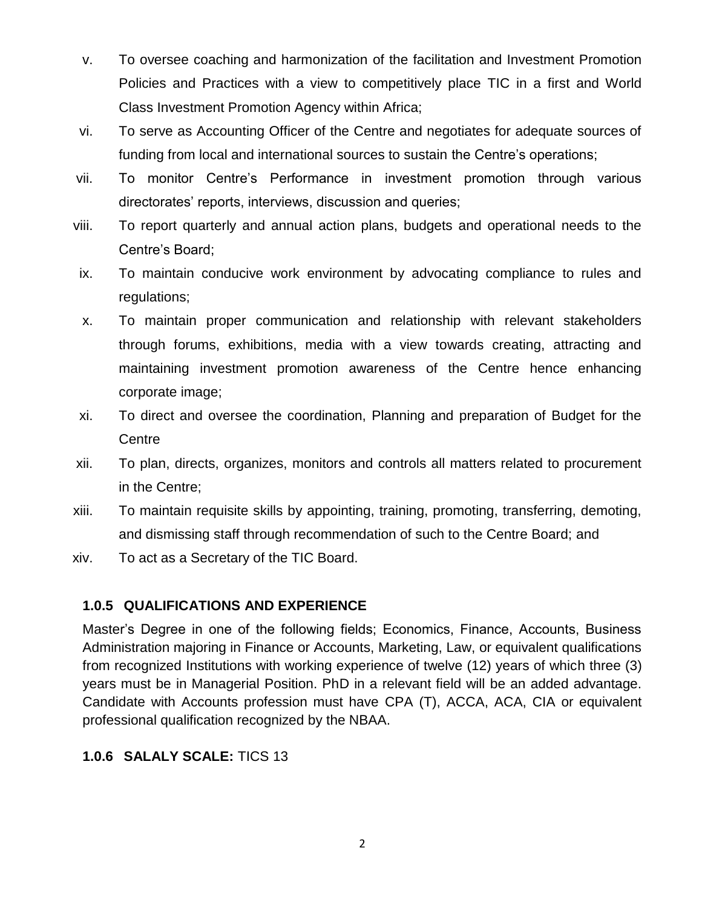- v. To oversee coaching and harmonization of the facilitation and Investment Promotion Policies and Practices with a view to competitively place TIC in a first and World Class Investment Promotion Agency within Africa;
- vi. To serve as Accounting Officer of the Centre and negotiates for adequate sources of funding from local and international sources to sustain the Centre's operations;
- vii. To monitor Centre's Performance in investment promotion through various directorates' reports, interviews, discussion and queries;
- viii. To report quarterly and annual action plans, budgets and operational needs to the Centre's Board;
- ix. To maintain conducive work environment by advocating compliance to rules and regulations;
- x. To maintain proper communication and relationship with relevant stakeholders through forums, exhibitions, media with a view towards creating, attracting and maintaining investment promotion awareness of the Centre hence enhancing corporate image;
- xi. To direct and oversee the coordination, Planning and preparation of Budget for the **Centre**
- xii. To plan, directs, organizes, monitors and controls all matters related to procurement in the Centre;
- xiii. To maintain requisite skills by appointing, training, promoting, transferring, demoting, and dismissing staff through recommendation of such to the Centre Board; and
- xiv. To act as a Secretary of the TIC Board.

#### **1.0.5 QUALIFICATIONS AND EXPERIENCE**

Master's Degree in one of the following fields; Economics, Finance, Accounts, Business Administration majoring in Finance or Accounts, Marketing, Law, or equivalent qualifications from recognized Institutions with working experience of twelve (12) years of which three (3) years must be in Managerial Position. PhD in a relevant field will be an added advantage. Candidate with Accounts profession must have CPA (T), ACCA, ACA, CIA or equivalent professional qualification recognized by the NBAA.

### **1.0.6 SALALY SCALE:** TICS 13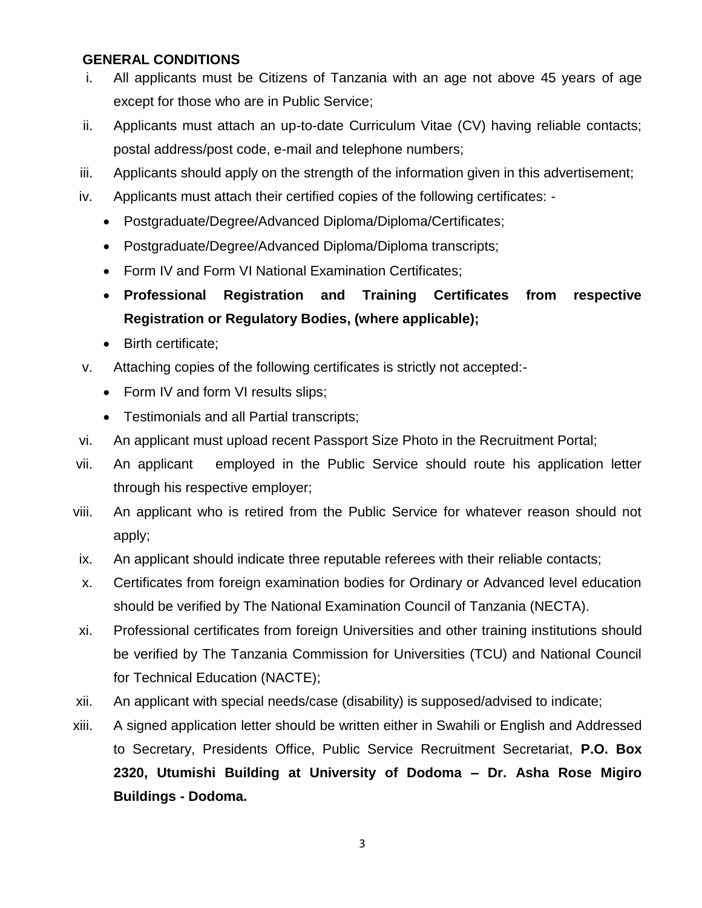#### **GENERAL CONDITIONS**

- i. All applicants must be Citizens of Tanzania with an age not above 45 years of age except for those who are in Public Service;
- ii. Applicants must attach an up-to-date Curriculum Vitae (CV) having reliable contacts; postal address/post code, e-mail and telephone numbers;
- iii. Applicants should apply on the strength of the information given in this advertisement;
- iv. Applicants must attach their certified copies of the following certificates:
	- Postgraduate/Degree/Advanced Diploma/Diploma/Certificates;
	- Postgraduate/Degree/Advanced Diploma/Diploma transcripts;
	- Form IV and Form VI National Examination Certificates;
	- **Professional Registration and Training Certificates from respective Registration or Regulatory Bodies, (where applicable);**
	- Birth certificate;
- v. Attaching copies of the following certificates is strictly not accepted:-
	- Form IV and form VI results slips;
	- Testimonials and all Partial transcripts;
- vi. An applicant must upload recent Passport Size Photo in the Recruitment Portal;
- vii. An applicant employed in the Public Service should route his application letter through his respective employer;
- viii. An applicant who is retired from the Public Service for whatever reason should not apply;
- ix. An applicant should indicate three reputable referees with their reliable contacts;
- x. Certificates from foreign examination bodies for Ordinary or Advanced level education should be verified by The National Examination Council of Tanzania (NECTA).
- xi. Professional certificates from foreign Universities and other training institutions should be verified by The Tanzania Commission for Universities (TCU) and National Council for Technical Education (NACTE);
- xii. An applicant with special needs/case (disability) is supposed/advised to indicate;
- xiii. A signed application letter should be written either in Swahili or English and Addressed to Secretary, Presidents Office, Public Service Recruitment Secretariat, **P.O. Box 2320, Utumishi Building at University of Dodoma – Dr. Asha Rose Migiro Buildings - Dodoma.**